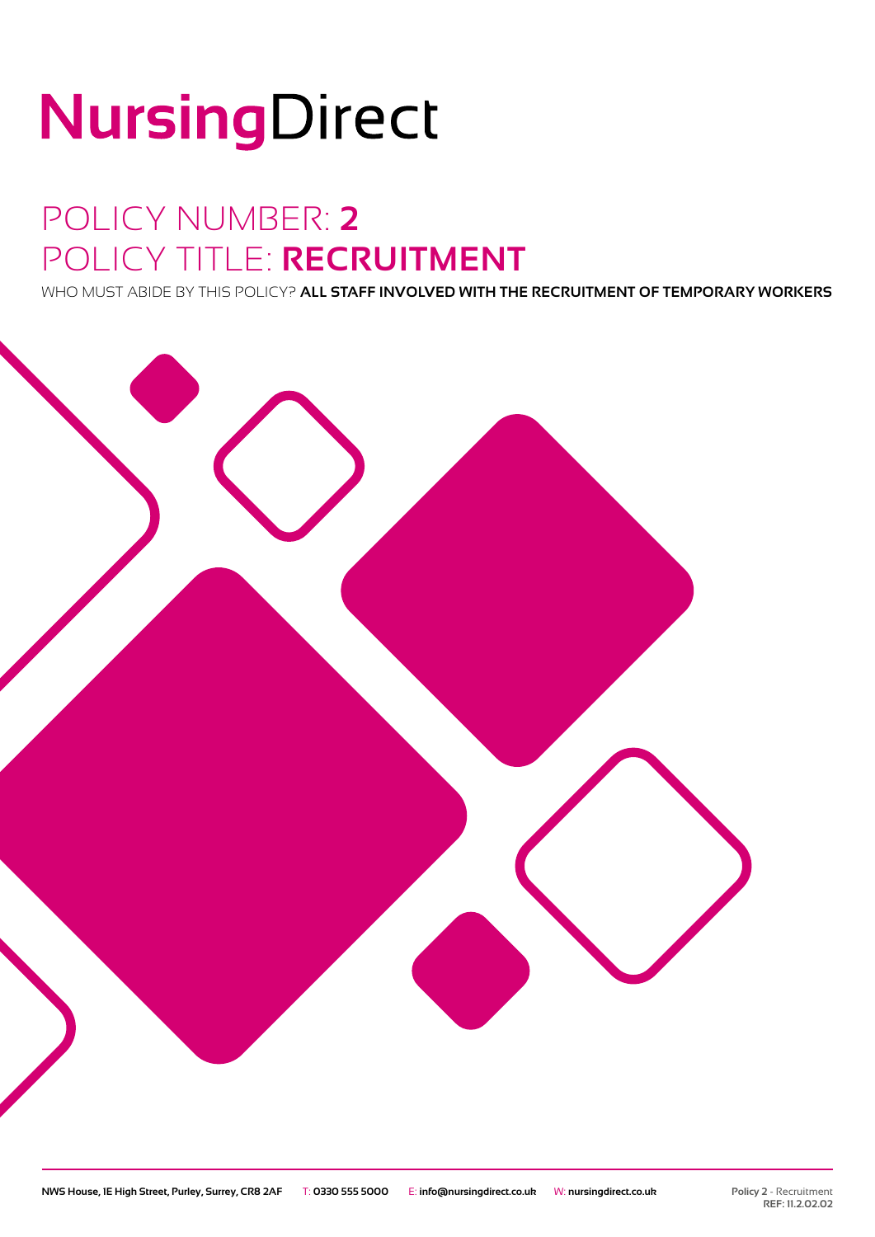# NursingDirect

### POLICY NUMBER: **2** POLICY TITLE: **RECRUITMENT**

WHO MUST ABIDE BY THIS POLICY? **ALL STAFF INVOLVED WITH THE RECRUITMENT OF TEMPORARY WORKERS**

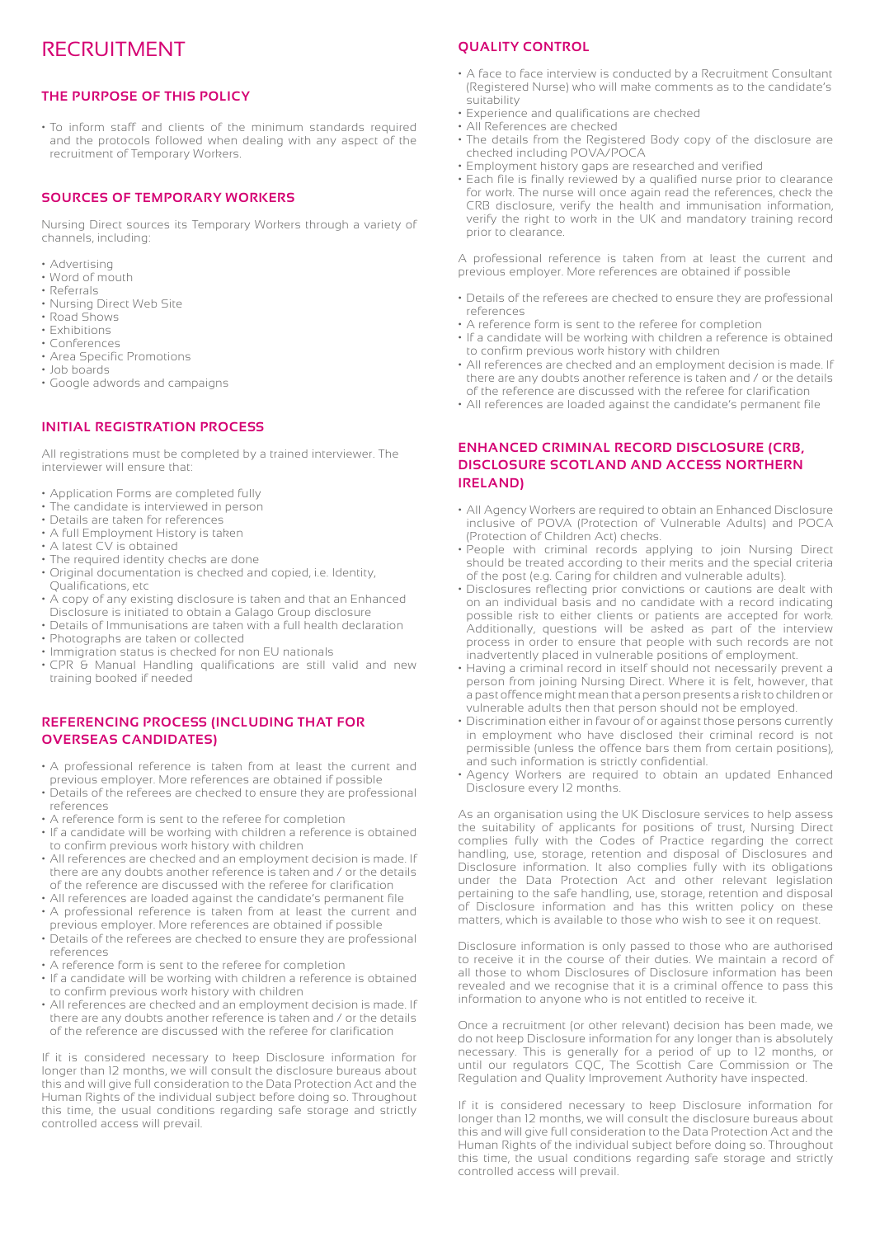### RECRUITMENT

#### **THE PURPOSE OF THIS POLICY**

• To inform staff and clients of the minimum standards required and the protocols followed when dealing with any aspect of the recruitment of Temporary Workers.

#### **SOURCES OF TEMPORARY WORKERS**

Nursing Direct sources its Temporary Workers through a variety of channels, including:

- Advertising
- Word of mouth
- Referrals • Nursing Direct Web Site
- Road Shows
- Exhibitions
- Conferences
- Area Specific Promotions
- Job boards
- Google adwords and campaigns

#### **INITIAL REGISTRATION PROCESS**

All registrations must be completed by a trained interviewer. The interviewer will ensure that:

- Application Forms are completed fully
- The candidate is interviewed in person
- Details are taken for references
- A full Employment History is taken
- A latest CV is obtained
- The required identity checks are done
- Original documentation is checked and copied, i.e. Identity, Qualifications, etc
- A copy of any existing disclosure is taken and that an Enhanced Disclosure is initiated to obtain a Galago Group disclosure
- Details of Immunisations are taken with a full health declaration
- Photographs are taken or collected
- Immigration status is checked for non EU nationals
- CPR & Manual Handling qualifications are still valid and new training booked if needed

#### **REFERENCING PROCESS (INCLUDING THAT FOR OVERSEAS CANDIDATES)**

- A professional reference is taken from at least the current and previous employer. More references are obtained if possible
- Details of the referees are checked to ensure they are professional references
- A reference form is sent to the referee for completion
- If a candidate will be working with children a reference is obtained to confirm previous work history with children
- All references are checked and an employment decision is made. If there are any doubts another reference is taken and / or the details of the reference are discussed with the referee for clarification
- All references are loaded against the candidate's permanent file
- A professional reference is taken from at least the current and previous employer. More references are obtained if possible
- Details of the referees are checked to ensure they are professional references
- A reference form is sent to the referee for completion
- If a candidate will be working with children a reference is obtained to confirm previous work history with children
- All references are checked and an employment decision is made. If there are any doubts another reference is taken and / or the details of the reference are discussed with the referee for clarification

If it is considered necessary to keep Disclosure information for longer than 12 months, we will consult the disclosure bureaus about this and will give full consideration to the Data Protection Act and the Human Rights of the individual subject before doing so. Throughout this time, the usual conditions regarding safe storage and strictly controlled access will prevail.

#### **QUALITY CONTROL**

- A face to face interview is conducted by a Recruitment Consultant (Registered Nurse) who will make comments as to the candidate's suitability
- Experience and qualifications are checked
- All References are checked
- The details from the Registered Body copy of the disclosure are checked including POVA/POCA
- Employment history gaps are researched and verified
- Each file is finally reviewed by a qualified nurse prior to clearance for work. The nurse will once again read the references, check the CRB disclosure, verify the health and immunisation information, verify the right to work in the UK and mandatory training record prior to clearance.

A professional reference is taken from at least the current and previous employer. More references are obtained if possible

- Details of the referees are checked to ensure they are professional references
- A reference form is sent to the referee for completion
- If a candidate will be working with children a reference is obtained to confirm previous work history with children
- All references are checked and an employment decision is made. If there are any doubts another reference is taken and / or the details of the reference are discussed with the referee for clarification
- All references are loaded against the candidate's permanent file

#### **ENHANCED CRIMINAL RECORD DISCLOSURE (CRB, DISCLOSURE SCOTLAND AND ACCESS NORTHERN IRELAND)**

- All Agency Workers are required to obtain an Enhanced Disclosure inclusive of POVA (Protection of Vulnerable Adults) and POCA (Protection of Children Act) checks.
- People with criminal records applying to join Nursing Direct should be treated according to their merits and the special criteria of the post (e.g. Caring for children and vulnerable adults).
- Disclosures reflecting prior convictions or cautions are dealt with on an individual basis and no candidate with a record indicating possible risk to either clients or patients are accepted for work. Additionally, questions will be asked as part of the interview process in order to ensure that people with such records are not inadvertently placed in vulnerable positions of employment.
- Having a criminal record in itself should not necessarily prevent a person from joining Nursing Direct. Where it is felt, however, that a past offence might mean that a person presents a risk to children or vulnerable adults then that person should not be employed.
- Discrimination either in favour of or against those persons currently in employment who have disclosed their criminal record is not permissible (unless the offence bars them from certain positions), and such information is strictly confidential.
- Agency Workers are required to obtain an updated Enhanced Disclosure every 12 months.

As an organisation using the UK Disclosure services to help assess the suitability of applicants for positions of trust, Nursing Direct complies fully with the Codes of Practice regarding the correct handling, use, storage, retention and disposal of Disclosures and Disclosure information. It also complies fully with its obligations under the Data Protection Act and other relevant legislation pertaining to the safe handling, use, storage, retention and disposal of Disclosure information and has this written policy on these matters, which is available to those who wish to see it on request.

Disclosure information is only passed to those who are authorised to receive it in the course of their duties. We maintain a record of all those to whom Disclosures of Disclosure information has been revealed and we recognise that it is a criminal offence to pass this information to anyone who is not entitled to receive it.

Once a recruitment (or other relevant) decision has been made, we do not keep Disclosure information for any longer than is absolutely necessary. This is generally for a period of up to 12 months, or until our regulators CQC, The Scottish Care Commission or The Regulation and Quality Improvement Authority have inspected.

If it is considered necessary to keep Disclosure information for longer than 12 months, we will consult the disclosure bureaus about this and will give full consideration to the Data Protection Act and the Human Rights of the individual subject before doing so. Throughout this time, the usual conditions regarding safe storage and strictly controlled access will prevail.